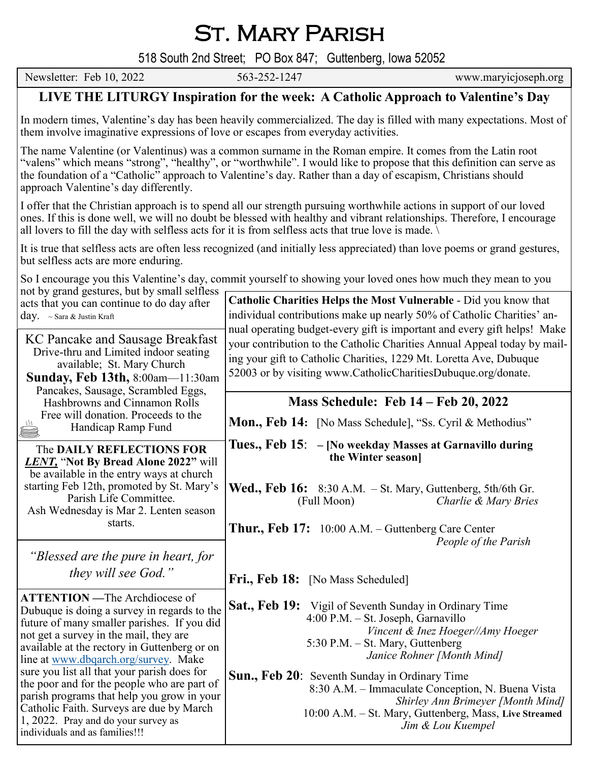St. Mary Parish

518 South 2nd Street; PO Box 847; Guttenberg, Iowa 52052

Newsletter: Feb 10, 2022 563-252-1247 www.maryicjoseph.org

## **LIVE THE LITURGY Inspiration for the week: A Catholic Approach to Valentine's Day**

In modern times, Valentine's day has been heavily commercialized. The day is filled with many expectations. Most of them involve imaginative expressions of love or escapes from everyday activities.

The name Valentine (or Valentinus) was a common surname in the Roman empire. It comes from the Latin root "valens" which means "strong", "healthy", or "worthwhile". I would like to propose that this definition can serve as the foundation of a "Catholic" approach to Valentine's day. Rather than a day of escapism, Christians should approach Valentine's day differently.

I offer that the Christian approach is to spend all our strength pursuing worthwhile actions in support of our loved ones. If this is done well, we will no doubt be blessed with healthy and vibrant relationships. Therefore, I encourage all lovers to fill the day with selfless acts for it is from selfless acts that true love is made.

It is true that selfless acts are often less recognized (and initially less appreciated) than love poems or grand gestures, but selfless acts are more enduring.

So I encourage you this Valentine's day, commit yourself to showing your loved ones how much they mean to you

| not by grand gestures, but by small selfless                                                                                                                                                                                                                          |                                                                                                                                                                                                                               |
|-----------------------------------------------------------------------------------------------------------------------------------------------------------------------------------------------------------------------------------------------------------------------|-------------------------------------------------------------------------------------------------------------------------------------------------------------------------------------------------------------------------------|
| acts that you can continue to do day after<br>$day. \sim$ Sara & Justin Kraft                                                                                                                                                                                         | Catholic Charities Helps the Most Vulnerable - Did you know that<br>individual contributions make up nearly 50% of Catholic Charities' an-<br>nual operating budget-every gift is important and every gift helps! Make        |
| KC Pancake and Sausage Breakfast<br>Drive-thru and Limited indoor seating<br>available; St. Mary Church<br><b>Sunday, Feb 13th, 8:00am-11:30am</b><br>Pancakes, Sausage, Scrambled Eggs,                                                                              | your contribution to the Catholic Charities Annual Appeal today by mail-<br>ing your gift to Catholic Charities, 1229 Mt. Loretta Ave, Dubuque<br>52003 or by visiting www.CatholicCharitiesDubuque.org/donate.               |
| Hashbrowns and Cinnamon Rolls                                                                                                                                                                                                                                         | Mass Schedule: Feb 14 – Feb 20, 2022                                                                                                                                                                                          |
| Free will donation. Proceeds to the<br>Handicap Ramp Fund                                                                                                                                                                                                             | Mon., Feb 14: [No Mass Schedule], "Ss. Cyril & Methodius"                                                                                                                                                                     |
| The DAILY REFLECTIONS FOR<br><b>LENT</b> , "Not By Bread Alone 2022" will<br>be available in the entry ways at church                                                                                                                                                 | Tues., Feb 15: – [No weekday Masses at Garnavillo during<br>the Winter season]                                                                                                                                                |
| starting Feb 12th, promoted by St. Mary's<br>Parish Life Committee.<br>Ash Wednesday is Mar 2. Lenten season<br>starts.                                                                                                                                               | <b>Wed., Feb 16:</b> 8:30 A.M. $-$ St. Mary, Guttenberg, 5th/6th Gr.<br>Charlie & Mary Bries<br>(Full Moon)                                                                                                                   |
| "Blessed are the pure in heart, for                                                                                                                                                                                                                                   | <b>Thur., Feb 17:</b> 10:00 A.M. – Guttenberg Care Center<br>People of the Parish                                                                                                                                             |
| they will see God."                                                                                                                                                                                                                                                   | Fri., Feb 18: [No Mass Scheduled]                                                                                                                                                                                             |
| <b>ATTENTION</b> - The Archdiocese of<br>Dubuque is doing a survey in regards to the<br>future of many smaller parishes. If you did<br>not get a survey in the mail, they are<br>available at the rectory in Guttenberg or on<br>line at www.dbgarch.org/survey. Make | <b>Sat., Feb 19:</b> Vigil of Seventh Sunday in Ordinary Time<br>4:00 P.M. - St. Joseph, Garnavillo<br>Vincent & Inez Hoeger//Amy Hoeger<br>5:30 P.M. - St. Mary, Guttenberg<br>Janice Rohner [Month Mind]                    |
| sure you list all that your parish does for<br>the poor and for the people who are part of<br>parish programs that help you grow in your<br>Catholic Faith. Surveys are due by March<br>1, 2022. Pray and do your survey as<br>individuals and as families!!!         | <b>Sun., Feb 20:</b> Seventh Sunday in Ordinary Time<br>8:30 A.M. - Immaculate Conception, N. Buena Vista<br>Shirley Ann Brimeyer [Month Mind]<br>10:00 A.M. - St. Mary, Guttenberg, Mass, Live Streamed<br>Jim & Lou Kuempel |